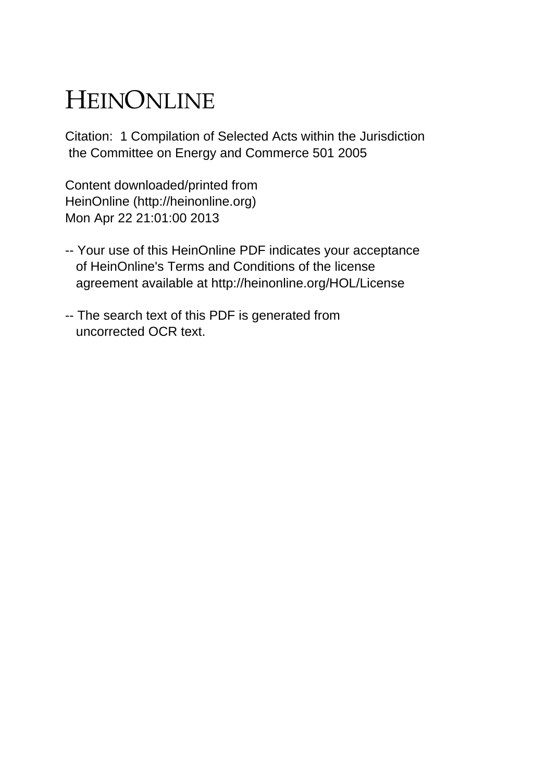# HEINONLINE

Citation: 1 Compilation of Selected Acts within the Jurisdiction the Committee on Energy and Commerce 501 2005

Content downloaded/printed from HeinOnline (http://heinonline.org) Mon Apr 22 21:01:00 2013

- -- Your use of this HeinOnline PDF indicates your acceptance of HeinOnline's Terms and Conditions of the license agreement available at http://heinonline.org/HOL/License
- -- The search text of this PDF is generated from uncorrected OCR text.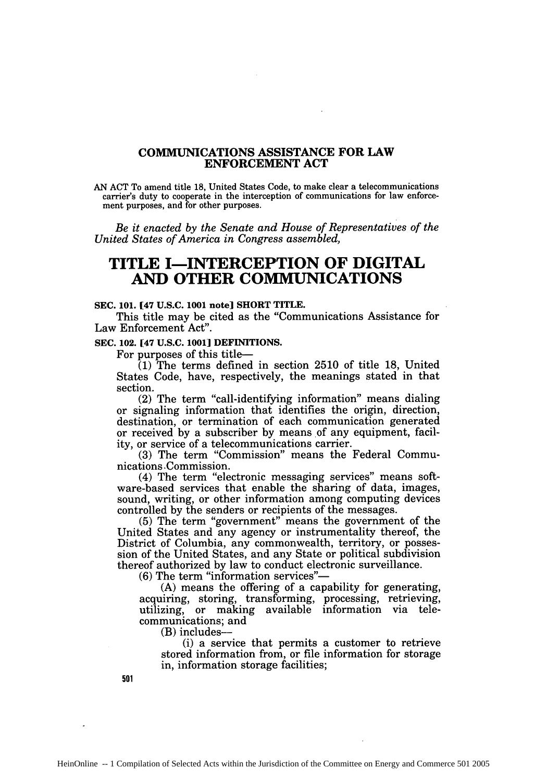## **COMMUNICATIONS ASSISTANCE FOR LAW ENFORCEMENT ACT**

**AN ACT** To amend title **18,** United States Code, to make clear a telecommunications carrier's duty to cooperate in the interception of communications for law enforcement purposes, and for other purposes.

*Be it enacted by the Senate and House of Representatives of the United States of America in Congress assembled,*

# **TITLE I-INTERCEPTION OF DIGITAL AND OTHER COMMUNICATIONS**

#### **SEC. 101. [47 U.S.C. 1001 note] SHORT TITLE.**

This title may be cited as the "Communications Assistance for Law Enforcement Act".

**SEC.** 102. [47 **U.S.C. 1001] DEFINITIONS.**

For purposes of this title-

**(1)** The terms defined in section **2510** of title **18,** United States Code, have, respectively, the meanings stated in that section.

(2) The term "call-identifying information" means dialing or signaling information that identifies the origin, direction, destination, or termination of each communication generated or received **by** a subscriber **by** means of any equipment, facility, or service of a telecommunications carrier.

**(3)** The term "Commission" means the Federal Communications .Commission.

(4) The term "electronic messaging services" means software-based services that enable the sharing of data, images, sound, writing, or other information among computing devices controlled **by** the senders or recipients of the messages.

**(5)** The term "government" means the government of the United States and any agency or instrumentality thereof, the District of Columbia, any commonwealth, territory, or possession of the United States, and any State or political subdivision thereof authorized **by** law to conduct electronic surveillance.

**(6)** The term "information services"-

**(A)** means the offering of a capability for generating, acquiring, storing, transforming, processing, retrieving, utilizing, or making available information via telecommunications; and

 $(B)$  includes—

(i) a service that permits a customer to retrieve stored information from, or file information for storage in, information storage facilities;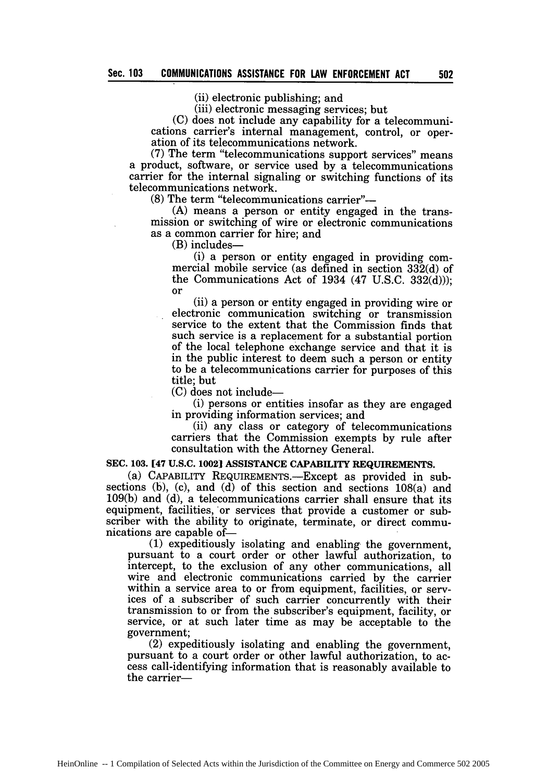(ii) electronic publishing; and

(iii) electronic messaging services; but

(C) does not include any capability for a telecommunications carrier's internal management, control, or operation of its telecommunications network.

(7) The term "telecommunications support services" means a product, software, or service used by a telecommunications carrier for the internal signaling or switching functions of its telecommunications network.

(8) The term "telecommunications carrier"-

(A) means a person or entity engaged in the transmission or switching of wire or electronic communications as a common carrier for hire; and

(B) includes-

(i) a person or entity engaged in providing commercial mobile service (as defined in section 332(d) of the Communications Act of 1934  $(47 \text{ U.S.C. } 332(\text{d})))$ : or

(ii) a person or entity engaged in providing wire or electronic communication switching or transmission service to the extent that the Commission finds that such service is a replacement for a substantial portion of the local telephone exchange service and that it is in the public interest to deem such a person or entity to be a telecommunications carrier for purposes of this title; but

(C) does not include-

(i) persons or entities insofar as they are engaged in providing information services; and

(ii) any class or category of telecommunications carriers that the Commission exempts by rule after consultation with the Attorney General.

## **SEC. 103. [47 U.S.C. 10021 ASSISTANCE CAPABILITY REQUIREMENTS.**

(a) CAPABILITY REQUIREMENTS.-Except as provided in subsections (b), (c), and (d) of this section and sections 108(a) and 109(b) and (d), a telecommunications carrier shall ensure that its equipment, facilities, or services that provide a customer or subscriber with the ability to originate, terminate, or direct communications are capable of-

**(1)** expeditiously isolating and enabling the government, pursuant to a court order or other lawful authorization, to intercept, to the exclusion of any other communications, all wire and electronic communications carried by the carrier within a service area to or from equipment, facilities, or services of a subscriber of such carrier concurrently with their transmission to or from the subscriber's equipment, facility, or service, or at such later time as may be acceptable to the government;

(2) expeditiously isolating and enabling the government, pursuant to a court order or other lawful authorization, to access call-identifying information that is reasonably available to the carrier-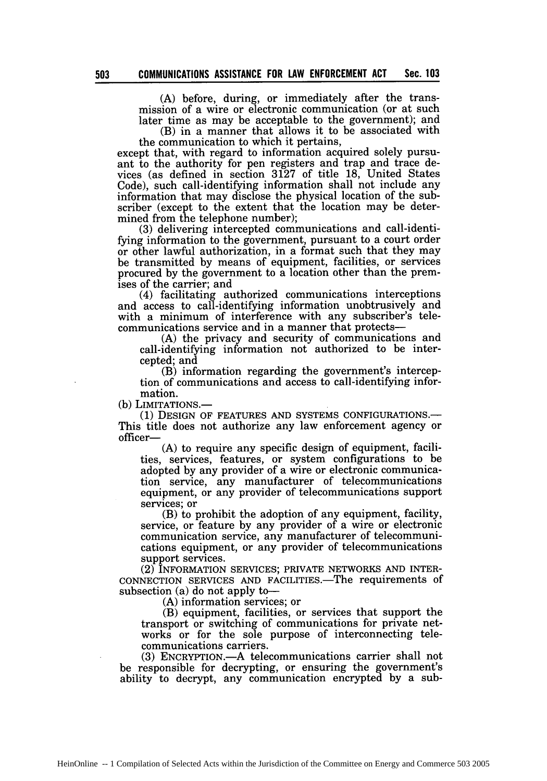(A) before, during, or immediately after the transmission of a wire or electronic communication (or at such later time as may be acceptable to the government); and

(B) in a manner that allows it to be associated with the communication to which it pertains,

except that, with regard to information acquired solely pursuant to the authority for pen registers and trap and trace devices (as defined in section 3127 of title 18, United States Code), such call-identifying information shall not include any information that may disclose the physical location of the subscriber (except to the extent that the location may be determined from the telephone number);

(3) delivering intercepted communications and call-identifying information to the government, pursuant to a court order or other lawful authorization, in a format such that they may be transmitted by means of equipment, facilities, or services procured by the government to a location other than the premises of the carrier; and

(4) facilitating authorized communications interceptions and access to call-identifying information unobtrusively and with a minimum of interference with any subscriber's telecommunications service and in a manner that protects-

(A) the privacy and security of communications and call-identifying information not authorized to be intercepted; and

(B) information regarding the government's interception of communications and access to call-identifying information.

(b) LIMITATIONS.-

(1) DESIGN OF FEATURES AND SYSTEMS CONFIGURATIONS.- This title does not authorize any law enforcement agency or officer-

(A) to require any specific design of equipment, facilities, services, features, or system configurations to be adopted by any provider of a wire or electronic communication service, any manufacturer of telecommunications equipment, or any provider of telecommunications support services; or

(B) to prohibit the adoption of any equipment, facility, service, or feature by any provider of a wire or electronic communication service, any manufacturer of telecommunications equipment, or any provider of telecommunications support services.

(2) INFORMATION SERVICES; PRIVATE NETWORKS AND INTER-CONNECTION SERVICES AND FACILITIES.-The requirements of subsection (a) do not apply to-

(A) information services; or

(B) equipment, facilities, or services that support the transport or switching of communications for private networks or for the sole purpose of interconnecting telecommunications carriers.

(3) ENCRYPTION.-A telecommunications carrier shall not be responsible for decrypting, or ensuring the government's ability to decrypt, any communication encrypted by a sub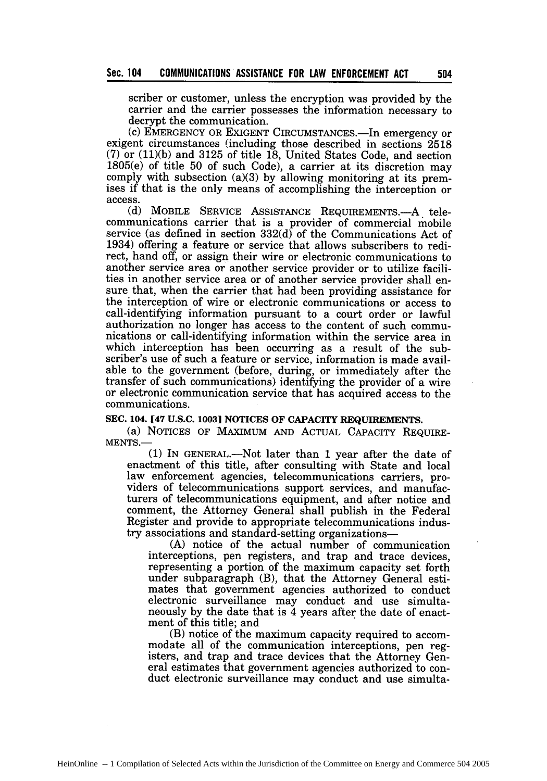scriber or customer, unless the encryption was provided by the carrier and the carrier possesses the information necessary to decrypt the communication.

(c) EMERGENCY OR EXIGENT CIRCUMSTANCES.—In emergency or exigent circumstances (including those described in sections 2518  $(7)$  or  $(11)(b)$  and 3125 of title 18, United States Code, and section 1805(e) of title 50 of such Code), a carrier at its discretion may comply with subsection (a)(3) by allowing monitoring at its premises if that is the only means of accomplishing the interception or access.

(d) MOBILE SERVICE ASSISTANCE REQUIREMENTS.--- A telecommunications carrier that is a provider of commercial mobile service (as defined in section 332(d) of the Communications Act of 1934) offering a feature or service that allows subscribers to redirect, hand off, or assign their wire or electronic communications to another service area or another service provider or to utilize facilities in another service area or of another service provider shall ensure that, when the carrier that had been providing assistance for the interception of wire or electronic communications or access to call-identifying information pursuant to a court order or lawful authorization no longer has access to the content of such communications or call-identifying information within the service area in which interception has been occurring as a result of the subscriber's use of such a feature or service, information is made available to the government (before, during, or immediately after the transfer of such communications) identifying the provider of a wire or electronic communication service that has acquired access to the communications.

#### **SEC. 104.** [47 **U.S.C. 1003] NOTICES OF CAPACITY REQUIREMENTS.**

(a) NOTICES OF MAXIMUM AND ACTUAL CAPACITY REQUIRE-MENTS.-

(1) IN GENERAL.-Not later than 1 year after the date of enactment of this title, after consulting with State and local law enforcement agencies, telecommunications carriers, providers of telecommunications support services, and manufacturers of telecommunications equipment, and after notice and comment, the Attorney General shall publish in the Federal Register and provide to appropriate telecommunications industry associations and standard-setting organizations-

(A) notice of the actual number of communication interceptions, pen registers, and trap and trace devices, representing a portion of the maximum capacity set forth under subparagraph (B), that the Attorney General estimates that government agencies authorized to conduct electronic surveillance may conduct and use simultaneously by the date that is 4 years after the date of enactment of this title; and

(B) notice of the maximum capacity required to accommodate all of the communication interceptions, pen registers, and trap and trace devices that the Attorney General estimates that government agencies authorized to conduct electronic surveillance may conduct and use simulta-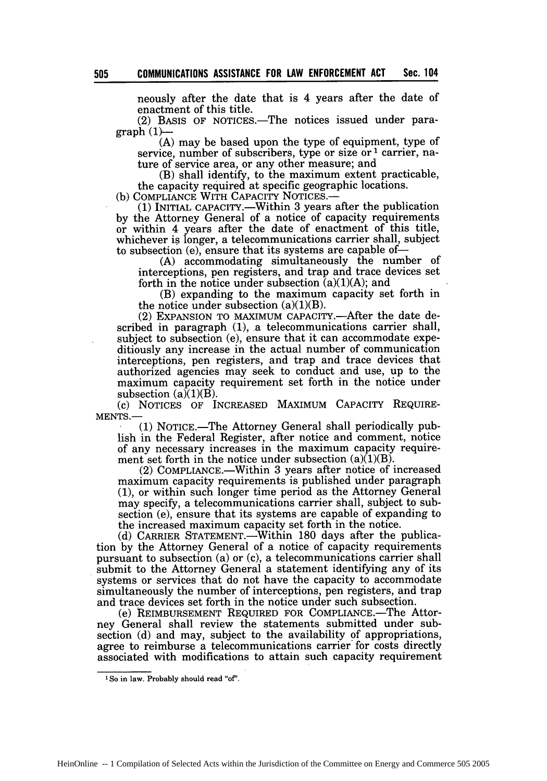neously after the date that is 4 years after the date of enactment of this title.

(2) BASIS OF NOTICES.—The notices issued under paragraph (1)-

(A) may be based upon the type of equipment, type of service, number of subscribers, type or size or 1 carrier, nature of service area, or any other measure; and

(B) shall identify, to the maximum extent practicable, the capacity required at specific geographic locations.

(b) COMPLIANCE WITH CAPACITY NOTICES.-

(1) INITIAL CAPACITY.-Within 3 years after the publication by the Attorney General of a notice of capacity requirements or within 4 years after the date of enactment of this title, whichever is longer, a telecommunications carrier shall, subject to subsection (e), ensure that its systems are capable of-

(A) accommodating simultaneously the number of interceptions, pen registers, and trap and trace devices set forth in the notice under subsection  $(a)(1)(A)$ ; and

(B) expanding to the maximum capacity set forth in the notice under subsection  $(a)(1)(B)$ .

(2) EXPANSION TO MAXIMUM CAPACITY.—After the date described in paragraph (1), a telecommunications carrier shall, subject to subsection (e), ensure that it can accommodate expeditiously any increase in the actual number of communication interceptions, pen registers, and trap and trace devices that authorized agencies may seek to conduct and use, up to the maximum capacity requirement set forth in the notice under subsection  $(a)(1)(B)$ .

(c) NOTICES OF INCREASED MAXIMUM CAPACITY REQUIRE-MENTS.-

(1) NOTICE.-The Attorney General shall periodically publish in the Federal Register, after notice and comment, notice of any necessary increases in the maximum capacity requirement set forth in the notice under subsection  $(a)(1)(B)$ .

(2) COMPLIANCE.-Within 3 years after notice of increased maximum capacity requirements is published under paragraph (1), or within such longer time period as the Attorney General may specify, a telecommunications carrier shall, subject to subsection (e), ensure that its systems are capable of expanding to the increased maximum capacity set forth in the notice.

(d) CARRIER STATEMENT.—Within 180 days after the publication by the Attorney General of a notice of capacity requirements pursuant to subsection (a) or (c), a telecommunications carrier shall submit to the Attorney General a statement identifying any of its systems or services that do not have the capacity to accommodate simultaneously the number of interceptions, pen registers, and trap and trace devices set forth in the notice under such subsection.

(e) REIMBURSEMENT REQUIRED FOR COMPLIANCE.-The Attorney General shall review the statements submitted under subsection (d) and may, subject to the availability of appropriations, agree to reimburse a telecommunications carrier for costs directly associated with modifications to attain such capacity requirement

**<sup>&#</sup>x27;So** in law. Probably should read "of'.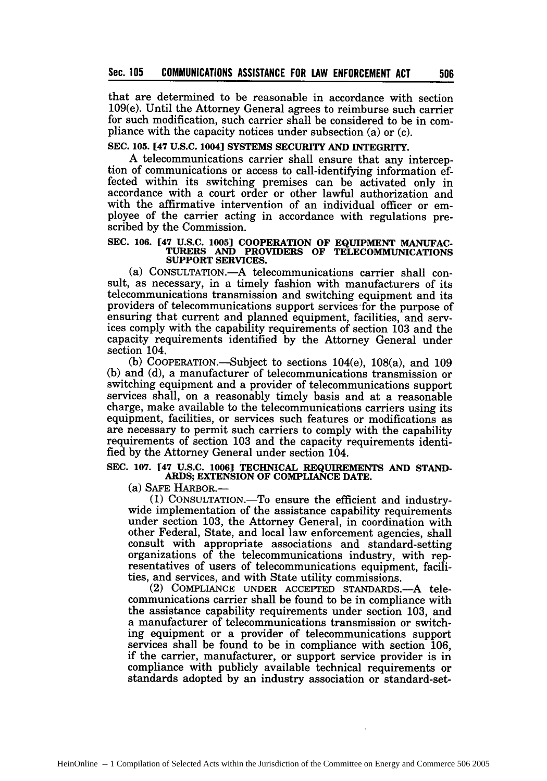that are determined to be reasonable in accordance with section 109(e). Until the Attorney General agrees to reimburse such carrier for such modification, such carrier shall be considered to be in compliance with the capacity notices under subsection (a) or (c).

## **SEC. 105. [47 U.S.C. 1004] SYSTEMS SECURITY AND INTEGRITY.**

**<sup>A</sup>**telecommunications carrier shall ensure that any intercep- tion of communications or access to call-identifying information effected within its switching premises can be activated only in accordance with a court order or other lawful authorization and with the affirmative intervention of an individual officer or employee of the carrier acting in accordance with regulations pre- scribed **by** the Commission.

#### SEC. 106. [47 U.S.C. 1005] COOPERATION OF EQUIPMENT MANUFAC **TURERS AND PROVIDERS OF TELECOMMUNICATIONS SUPPORT SERVICES.**

(a) **CONSULTATION.-A** telecommunications carrier shall consult, as necessary, in a timely fashion with manufacturers of its telecommunications transmission and switching equipment and its providers of telecommunications support services for the purpose of ensuring that current and planned equipment, facilities, and services comply with the capability requirements of section **103** and the capacity requirements identified **by** the Attorney General under section 104.

**(b)** COOPERATION.-Subject to sections 104(e), 108(a), and 109 (b) and (d), a manufacturer of telecommunications transmission or switching equipment and a provider of telecommunications support services shall, on a reasonably timely basis and at a reasonable charge, make available to the telecommunications carriers using its equipment, facilities, or services such features or modifications as are necessary to permit such carriers to comply with the capability requirements of section 103 and the capacity requirements identified by the Attorney General under section 104.

#### **SEC. 107. [47 U.S.C. 1006] TECHNICAL REQUIREMENTS AND STAND-ARDS; EXTENSION OF COMPLIANCE DATE.**

(a) SAFE HARBOR.-

**(1)** CONSULTATION.-To ensure the efficient and industry- wide implementation of the assistance capability requirements under section 103, the Attorney General, in coordination with other Federal, State, and local law enforcement agencies, shall organizations of the telecommunications industry, with rep-<br>resentatives of users of telecommunications equipment, facilities, and services, and with State utility commissions.

(2) COMPLIANCE UNDER ACCEPTED STANDARDS.—A telecommunications carrier shall be found to be in compliance with the assistance capability requirements under section 103, and a manufacturer of telecommunications transmission or switchservices shall be found to be in compliance with section 106, if the carrier, manufacturer, or support service provider is in compliance with publicly available technical requirements or standards adopted by an industry association or standard-set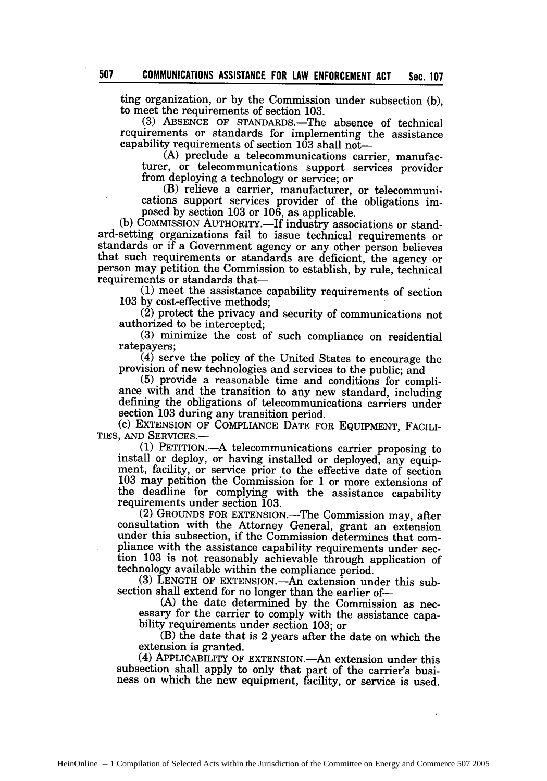ting organization, or by the Commission under subsection (b), to meet the requirements of section 103.

(3) ABSENCE OF STANDARDS.—The absence of technical requirements or standards for implementing the assistance capability requirements of section 103 shall not-

(A) preclude a telecommunications carrier, manufacturer, or telecommunications support services provider from deploying a technology or service; or

(B) relieve a carrier, manufacturer, or telecommunications support services provider of the obligations imposed by section 103 or 106, as applicable.

(b) COMMISSION AUTHORITY.—If industry associations or standard-setting organizations fail to issue technical requirements or standards or if a Government agency or any other person believes that such requirements or standards are deficient, the agency or person may petition the Commission to establish, by rule, technical requirements or standards that-

**(1)** meet the assistance capability requirements of section 103 by cost-effective methods;

(2) protect the privacy and security of communications not

 $(3)$  minimize the cost of such compliance on residential ratepayers;

(4) serve the policy of the United States to encourage the provision of new technologies and services to the public; and

(5) provide a reasonable time and conditions for compliance with and the transition to any new standard, including defining the obligations of telecommunications carriers under section 103 during any transition period.

(c) EXTENSION OF COMPLIANCE DATE FOR EQUIPMENT, FACILI-TIES, AND SERVICES.-

(1) PETITION.—A telecommunications carrier proposing to install or deploy, or having installed or deployed, any equipment, facility, or service prior to the effective date of section 103 may petition the Commission for 1 or more extensions of the deadline for complying with the assistance capability requirements under section 103.

(2) GROUNDS FOR EXTENSION.-The Commission may, after consultation with the Attorney General, grant an extension under this subsection, if the Commission determines that compliance with the assistance capability requirements under section 103 is not reasonably achievable through application of technology available within the compliance period.

(3) LENGTH OF EXTENSION.-An extension under this subsection shall extend for no longer than the earlier of-

(A) the date determined by the Commission as necessary for the carrier to comply with the assistance capability requirements under section 103; or

(B) the date that is 2 years after the date on which the extension is granted.

(4) APPLICABILITY OF EXTENSION.-An extension under this subsection shall apply to only that part of the carrier's business on which the new equipment, facility, or service is used.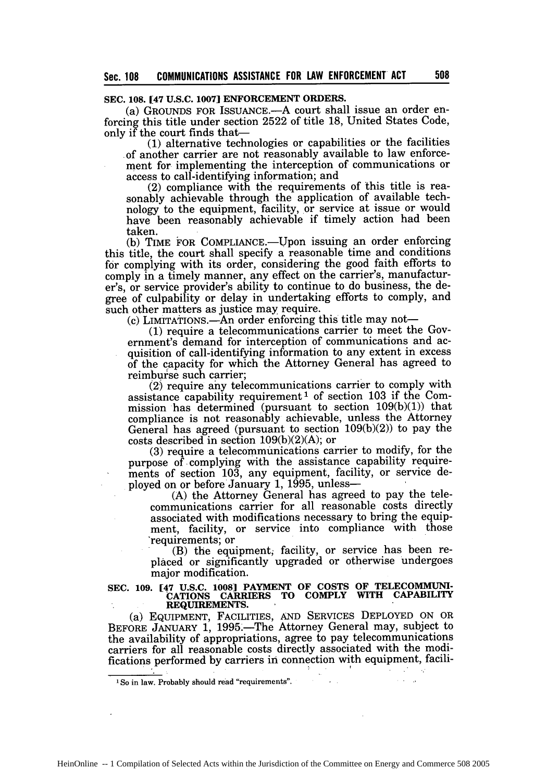#### **SEC. 108. [47 U.S.C. 1007] ENFORCEMENT** ORDERS.

(a) GROUNDS FOR **ISSUANCE.-A** court shall issue an order enforcing this title under section **2522** of title **18,** United States Code, only if the court finds that—

**(1)** alternative technologies or capabilities or the facilities of another carrier are not reasonably available to law enforcement for implementing the interception of communications or access to call-identifying information; and

(2) compliance with the requirements of this title is reasonably achievable through the application of available technology to the equipment, facility, or service at issue or would have been reasonably achievable if timely action had been taken.

(b) TIME FOR COMPLIANCE.—Upon issuing an order enforcing this title, the court shall specify a reasonable time and conditions for complying with its order, considering the good faith efforts to comply in a timely manner, any effect on the carrier's, manufacturer's, or service provider's ability to continue to do business, the degree of culpability or delay in undertaking efforts to comply, and such other matters as justice may require.

(c) LIMITATIONS.-An order enforcing this title may not-

**(1)** require a telecommunications carrier to meet the Government's demand for interception of communications and acquisition of call-identifying information to any extent in excess of the capacity for which the Attorney General has agreed to reimburse such carrier;

(2) require any telecommunications carrier to comply with assistance capability requirement **I** of section 103 if the Commission has determined (pursuant to section 109(b)(1)) that compliance is not reasonably achievable, unless the Attorney General has agreed (pursuant to section  $109(b)(2)$ ) to pay the costs described in section  $109(b)(2)(A)$ ; or

(3) require a telecommunications carrier to modify, for the purpose of complying with the assistance capability requirements of section 103, any equipment, facility, or service deployed on or before January 1, 1995, unless-

(A) the Attorney General has agreed to pay the telecommunications carrier for all reasonable costs directly associated with modifications necessary to bring the equipment, facility, or service into compliance with those requirements; or

(B) the equipment; facility, or service has been replaced or significantly upgraded or otherwise undergoes major modification.

## **SEC. 109. [47 U.S.C. 1008] PAYMENT OF COSTS OF TELECOMMUNI-CATIONS CARRIERS TO COMPLY WITH CAPABILITY REQUIREMENTS.**

(a) **EQUIPMENT,** FACILITIES, AND SERVICES DEPLOYED **ON** OR BEFORE JANUARY 1, 1995.—The Attorney General may, subject to the availability of appropriations, agree to pay telecommunications carriers for all reasonable costs directly associated with the modifications performed by carriers in connection with equipment, facili-

**<sup>&#</sup>x27;** So in law. Probably should read "requirements".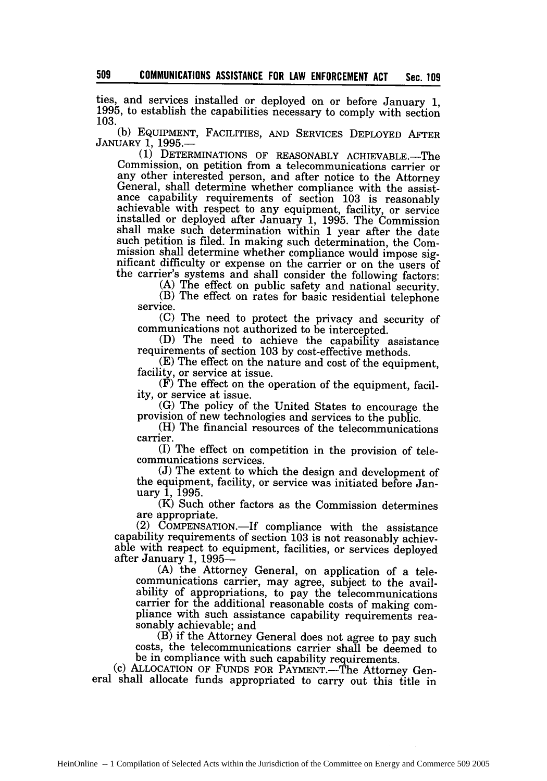ties, and services installed or deployed on or before January 1, 1995, to establish the capabilities necessary to comply with section 103.

(b) EQUIPMENT, FACILITIES, **AND** SERVICES DEPLOYED AFTER JANUARY 1, 1995.-

(1) DETERMINATIONS OF REASONABLY ACHIEVABLE.-The Commission, on petition from a telecommunications carrier or any other interested person, and after notice to the Attorney General, shall determine whether compliance with the assistachievable with respect to any equipment, facility, or service installed or deployed after January 1, 1995. The Commission shall make such determination within 1 year after the date such petition is filed. In making such determination, the Commission shall determine whether compliance would impose sig- nificant difficulty or expense on the carrier or on the users of the carrier's systems and shall consider the following factors:

(A) The effect on public safety and national security.<br>(B) The effect on rates for basic residential telephone service.

(C) The need to protect the privacy and security of

(D) The need to achieve the capability assistance requirements of section 103 by cost-effective methods.

(E) The effect on the nature and cost of the equipment, facility, or service at issue.

 $(F)$  The effect on the operation of the equipment, facility, or service at issue.

(G) The policy of the United States to encourage the provision of new technologies and services to the public. (H) The financial resources of the telecommunications

carrier.

(I) The effect on competition in the provision of telecommunications services.

(J) The extent to which the design and development of the equipment, facility, or service was initiated before January 1, 1995.

(K) Such other factors as the Commission determines are appropriate.

(2) COMPENSATION.-If compliance with the assistance capability requirements of section 103 is not reasonably achievable with respect to equipment, facilities, or services deployed after January 1, 1995-

(A) the Attorney General, on application of a telecommunications carrier, may agree, subject to the availability of appropriations, to pay the telecommunications carrier for the additional reasonable costs of making compliance with such assistance capability requirements reasonably achievable; and

(B) if the Attorney General does not agree to pay such costs, the telecommunications carrier shall be deemed to

(c) ALLOCATION OF FUNDS FOR PAYMENT.-The Attorney General shall allocate funds appropriated to carry out this title in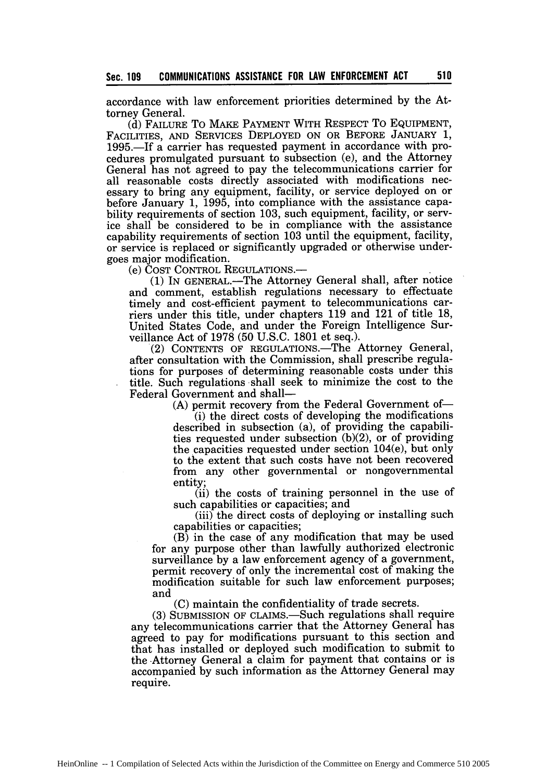accordance with law enforcement priorities determined by the Attorney General.

(d) FAILURE To MAKE PAYMENT WITH RESPECT To EQUIPMENT, FACILITIES, AND SERVICES DEPLOYED ON OR BEFORE JANUARY 1, 1995.-If a carrier has requested payment in accordance with procedures promulgated pursuant to subsection (e), and the Attorney General has not agreed to pay the telecommunications carrier for all reasonable costs directly associated with modifications necessary to bring any equipment, facility, or service deployed on or before January 1, 1995, into compliance with the assistance capability requirements of section 103, such equipment, facility, or service shall be considered to be in compliance with the assistance capability requirements of section 103 until the equipment, facility, or service is replaced or significantly upgraded or otherwise undergoes major modification.

(e) COST CONTROL REGULATIONS.-

(1) IN GENERAL.-The Attorney General shall, after notice and comment, establish regulations necessary to effectuate timely and cost-efficient payment to telecommunications carriers under this title, under chapters 119 and 121 of title 18, United States Code, and under the Foreign Intelligence Surveillance Act of 1978 (50 U.S.C. 1801 et seq.).

(2) CONTENTS OF REGULATIONS.-The Attorney General, after consultation with the Commission, shall prescribe regulations for purposes of determining reasonable costs under this title. Such regulations shall seek to minimize the cost to the Federal Government and shall-

 $(A)$  permit recovery from the Federal Government of-

(i) the direct costs of developing the modifications described in subsection (a), of providing the capabilities requested under subsection (b)(2), or of providing the capacities requested under section 104(e), but only to the extent that such costs have not been recovered from any other governmental or nongovernmental entity;

(ii) the costs of training personnel in the use of such capabilities or capacities; and

(iii) the direct costs of deploying or installing such capabilities or capacities;

(B) in the case of any modification that may be used for any purpose other than lawfully authorized electronic surveillance by a law enforcement agency of a government, permit recovery of only the incremental cost of making the modification suitable for such law enforcement purposes; and

(C) maintain the confidentiality of trade secrets.

(3) SUBMISSION OF CLAIMS.-Such regulations shall require any telecommunications carrier that the Attorney General has agreed to pay for modifications pursuant to this section and that has installed or deployed such modification to submit to the Attorney General a claim for payment that contains or is accompanied by such information as the Attorney General may require.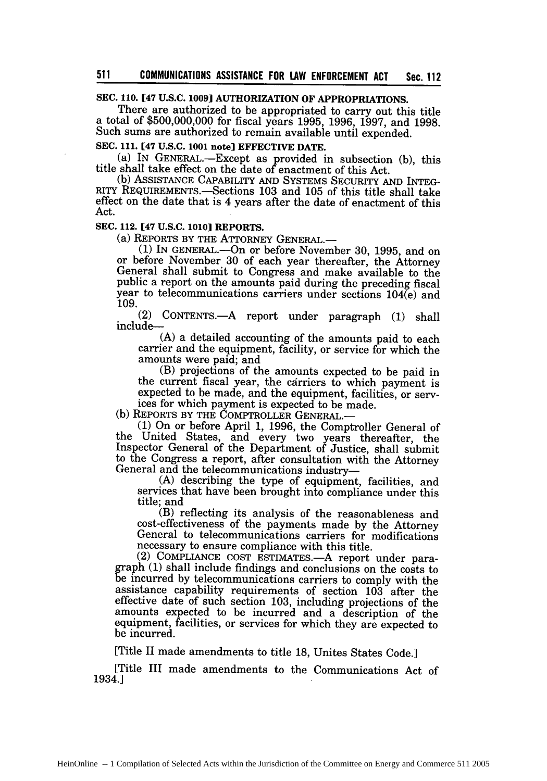## **SEC. 110. [47 U.S.C. 1009] AUTHORIZATION OF APPROPRIATIONS.**

There are authorized to be appropriated to carry out this title a total of **\$500,000,000** for fiscal years **1995, 1996, 1997,** and **1998.** Such sums are authorized to remain available until expended.

**SEC. 111.** [47 **U.S.C. 1001 note] EFFECTIVE DATE.**

(a) IN GENERAL.-Except as provided in subsection **(b),** this title shall take effect on the date of enactment of this Act.

(b) ASSISTANCE CAPABILITY **AND SYSTEMS** SECURITY AND INTEG-RITY REQUIREMENTS.-Sections 103 and 105 of this title shall take effect on the date that is 4 years after the date of enactment of this Act.

## **SEC. 112. [47 U.S.C. 1010] REPORTS.**

(a) REPORTS BY THE ATTORNEY GENERAL.-

(1) IN GENERAL.-On or before November 30, 1995, and on or before November 30 of each year thereafter, the Attorney General shall submit to Congress and make available to the public a report on the amounts paid during the preceding fiscal year to telecommunications carriers under sections 104(e) and 109.

(2) CONTENTS.-A report under paragraph (1) shall include-

(A) a detailed accounting of the amounts paid to each carrier and the equipment, facility, or service for which the amounts were paid; and

(B) projections of the amounts expected to be paid in the current fiscal year, the cirriers to which payment is expected to be made, and the equipment, facilities, or services for which payment is expected to be made.

(b) REPORTS BY THE COMPTROLLER GENERAL.-

(1) On or before April 1, 1996, the Comptroller General of the United States, and every two years thereafter, the Inspector General of the Department of Justice, shall submit to the Congress a report, after consultation with the Attorney General and the telecommunications industry- (A) describing the type of equipment, facilities, and

services that have been brought into compliance under this title; and

(B) reflecting its analysis of the reasonableness and cost-effectiveness of the payments made by the Attorney General to telecommunications carriers for modifications necessary to ensure compliance with this title.

(2) COMPLIANCE COST ESTIMATES.-A report under para- graph (1) shall include findings and conclusions on the costs to be incurred by telecommunications carriers to comply with the assistance capability requirements of section 103 after the effective date of such section 103, including projections of the amounts expected to be incurred and a description of the equipment, facilities, or services for which they are expected to be incurred.

[Title II made amendments to title 18, Unites States Code.]

[Title III made amendments to the Communications Act of 1934.]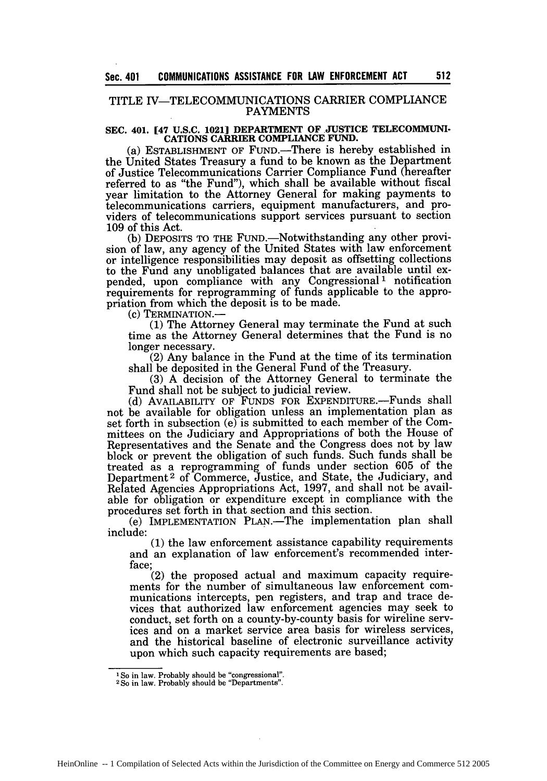## TITLE IV-TELECOMMUNICATIONS CARRIER COMPLIANCE PAYMENTS

#### **SEC. 401. [47 U.S.C. 10211 DEPARTMENT OF JUSTICE** TELECOMMUNI-**CATIONS CARRIER COMPLIANCE FUND.**

(a) **ESTABLISHMENT** OF FUND.-There is hereby established in the United States Treasury a fund to be known as the Department of Justice Telecommunications Carrier Compliance Fund (hereafter referred to as "the Fund"), which shall be available without fiscal year limitation to the Attorney General for making payments to telecommunications carriers, equipment manufacturers, and providers of telecommunications support services pursuant to section **109** of this Act.

**(b)** DEPOSITS TO THE FuND.-Notwithstanding any other provision of law, any agency of the United States with law enforcement or intelligence responsibilities may deposit as offsetting collections to the Fund any unobligated balances that are available until expended, upon compliance with any Congressional<sup>1</sup> notification requirements for reprogramming of funds applicable to the appropriation from which the deposit is to be made.

**(c)** TERMINATION.-

**(1)** The Attorney General may terminate the Fund at such time as the Attorney General determines that the Fund is no longer necessary.

(2) Any balance in the Fund at the time of its termination shall be deposited in the General Fund of the Treasury.

**(3) A** decision of the Attorney General to terminate the Fund shall not be subject to judicial review.

**(d)** AVAILABILITY OF FUNDS FOR EXPENDITURE.-Funds shall not be available for obligation unless an implementation plan as set forth in subsection (e) is submitted to each member of the Committees on the Judiciary and Appropriations of both the House of Representatives and the Senate and the Congress does not by law block or prevent the obligation of such funds. Such funds shall be treated as a reprogramming of funds under section 605 of the Department<sup>2</sup> of Commerce, Justice, and State, the Judiciary, and Related Agencies Appropriations Act, 1997, and shall not be available for obligation or expenditure except in compliance with the procedures set forth in that section and this section.

(e) IMPLEMENTATION PLAN.-The implementation plan shall include:

(1) the law enforcement assistance capability requirements and an explanation of law enforcement's recommended interface;

(2) the proposed actual and maximum capacity requirements for the number of simultaneous law enforcement communications intercepts, pen registers, and trap and trace devices that authorized law enforcement agencies may seek to conduct, set forth on a county-by-county basis for wireline services and on a market service area basis for wireless services, and the historical baseline of electronic surveillance activity upon which such capacity requirements are based;

HeinOnline -- 1 Compilation of Selected Acts within the Jurisdiction of the Committee on Energy and Commerce 512 2005

**I** So in law. Probably should be "congressional". <sup>2</sup>**So** in law. Probably should be "Departments".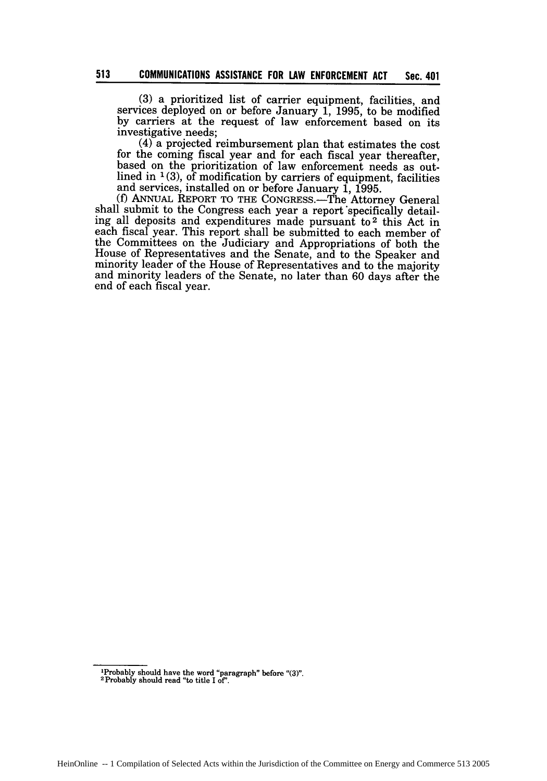(3) a prioritized list of carrier equipment, facilities, and services deployed on or before January 1, 1995, to be modified by carriers at the request of law enforcement based on its investigative needs;

(4) a projected reimbursement plan that estimates the cost for the coming fiscal year and for each fiscal year thereafter, based on the prioritization of law enforcement needs as outlined in **1(3),** of modification by carriers of equipment, facilities and services, installed on or before January 1, 1995.

(f) ANNuAL REPORT TO THE CONGREss.-The Attorney General shall submit to the Congress each year a report specifically detailing all deposits and expenditures made pursuant to 2 this Act in each fiscal year. This report shall be submitted to each member of the Committees on the Judiciary and Appropriations of both the House of Representatives and the Senate, and to the Speaker and minority leader of the House of Representatives and to the majority and minority leaders of the Senate, no later than 60 days after the end of each fiscal year.

<sup>1</sup> Probably should have the word "paragraph" before **"(3)".** <sup>2</sup>Probably should read "to title I of".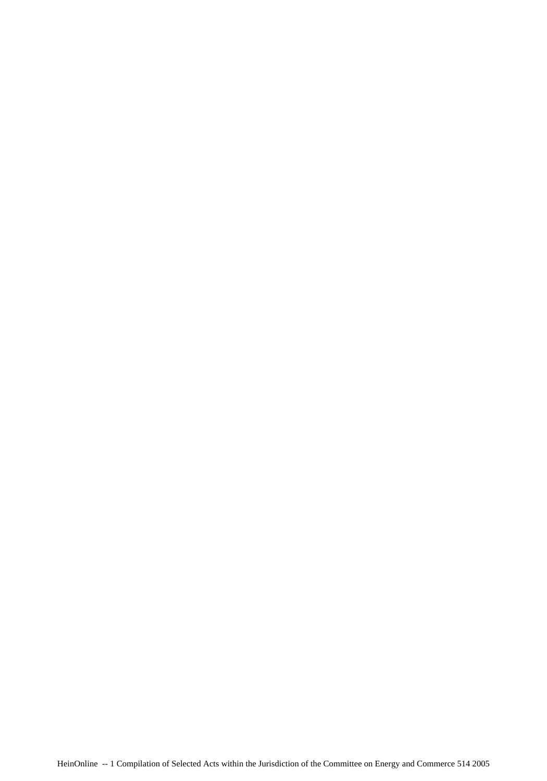HeinOnline -- 1 Compilation of Selected Acts within the Jurisdiction of the Committee on Energy and Commerce 514 2005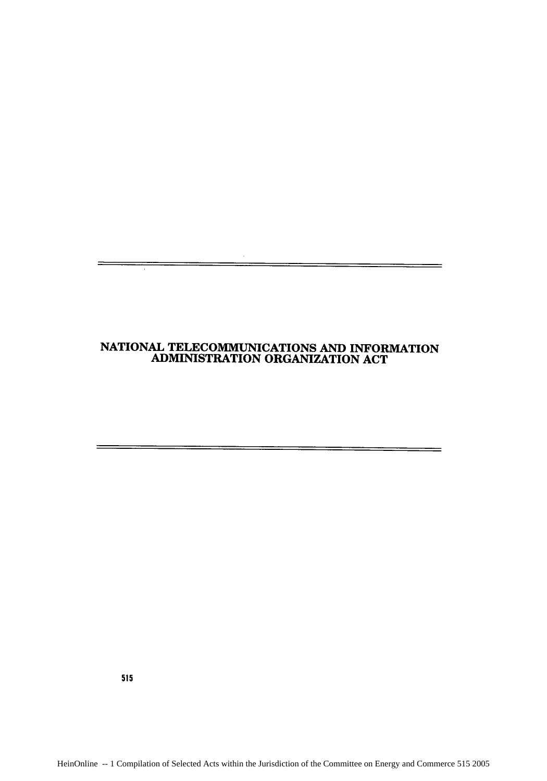## **NATIONAL TELECOMMUNICATIONS AND** INFORMATION ADMINISTRATION ORGANIZATION **ACT**

515

 $\overline{a}$